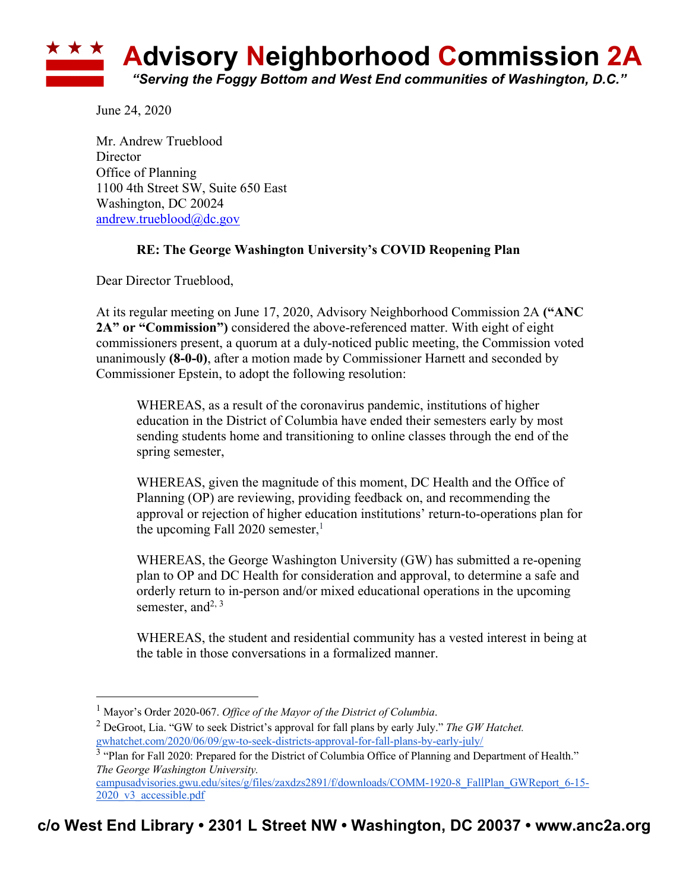

June 24, 2020

Mr. Andrew Trueblood Director Office of Planning 1100 4th Street SW, Suite 650 East Washington, DC 20024 andrew.trueblood@dc.gov

## **RE: The George Washington University's COVID Reopening Plan**

Dear Director Trueblood,

At its regular meeting on June 17, 2020, Advisory Neighborhood Commission 2A **("ANC 2A" or "Commission")** considered the above-referenced matter. With eight of eight commissioners present, a quorum at a duly-noticed public meeting, the Commission voted unanimously **(8-0-0)**, after a motion made by Commissioner Harnett and seconded by Commissioner Epstein, to adopt the following resolution:

WHEREAS, as a result of the coronavirus pandemic, institutions of higher education in the District of Columbia have ended their semesters early by most sending students home and transitioning to online classes through the end of the spring semester,

WHEREAS, given the magnitude of this moment, DC Health and the Office of Planning (OP) are reviewing, providing feedback on, and recommending the approval or rejection of higher education institutions' return-to-operations plan for the upcoming Fall 2020 semester, 1

WHEREAS, the George Washington University (GW) has submitted a re-opening plan to OP and DC Health for consideration and approval, to determine a safe and orderly return to in-person and/or mixed educational operations in the upcoming semester, and  $2, 3$ 

WHEREAS, the student and residential community has a vested interest in being at the table in those conversations in a formalized manner.

<sup>1</sup> Mayor's Order 2020-067. *Office of the Mayor of the District of Columbia*.

<sup>2</sup> DeGroot, Lia. "GW to seek District's approval for fall plans by early July." *The GW Hatchet.*  gwhatchet.com/2020/06/09/gw-to-seek-districts-approval-for-fall-plans-by-early-july/

<sup>&</sup>lt;sup>3</sup> "Plan for Fall 2020: Prepared for the District of Columbia Office of Planning and Department of Health." *The George Washington University.*

campusadvisories.gwu.edu/sites/g/files/zaxdzs2891/f/downloads/COMM-1920-8\_FallPlan\_GWReport\_6-15-2020\_v3\_accessible.pdf